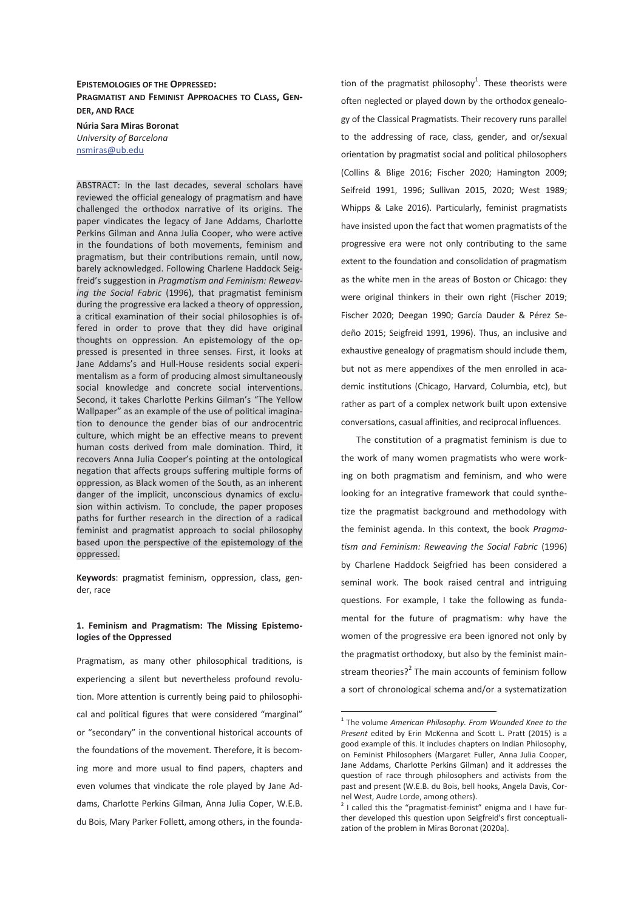# **EPISTEMOLOGIES OF THE OPPRESSED: PRAGMATIST AND FEMINIST APPROACHES TO CLASS, GEN-DER, AND RACE**

**Núria Sara Miras Boronat**  *University of Barcelona*  nsmiras@ub.edu

ABSTRACT: In the last decades, several scholars have reviewed the official genealogy of pragmatism and have challenged the orthodox narrative of its origins. The paper vindicates the legacy of Jane Addams, Charlotte Perkins Gilman and Anna Julia Cooper, who were active in the foundations of both movements, feminism and pragmatism, but their contributions remain, until now, barely acknowledged. Following Charlene Haddock Seigfreid's suggestion in *Pragmatism and Feminism: Reweaving the Social Fabric* (1996), that pragmatist feminism during the progressive era lacked a theory of oppression, a critical examination of their social philosophies is offered in order to prove that they did have original thoughts on oppression. An epistemology of the oppressed is presented in three senses. First, it looks at Jane Addams's and Hull-House residents social experimentalism as a form of producing almost simultaneously social knowledge and concrete social interventions. Second, it takes Charlotte Perkins Gilman's "The Yellow Wallpaper" as an example of the use of political imagination to denounce the gender bias of our androcentric culture, which might be an effective means to prevent human costs derived from male domination. Third, it recovers Anna Julia Cooper's pointing at the ontological negation that affects groups suffering multiple forms of oppression, as Black women of the South, as an inherent danger of the implicit, unconscious dynamics of exclusion within activism. To conclude, the paper proposes paths for further research in the direction of a radical feminist and pragmatist approach to social philosophy based upon the perspective of the epistemology of the oppressed.

**Keywords**: pragmatist feminism, oppression, class, gender, race

## **1. Feminism and Pragmatism: The Missing Epistemologies of the Oppressed**

Pragmatism, as many other philosophical traditions, is experiencing a silent but nevertheless profound revolution. More attention is currently being paid to philosophical and political figures that were considered "marginal" or "secondary" in the conventional historical accounts of the foundations of the movement. Therefore, it is becoming more and more usual to find papers, chapters and even volumes that vindicate the role played by Jane Addams, Charlotte Perkins Gilman, Anna Julia Coper, W.E.B. du Bois, Mary Parker Follett, among others, in the foundation of the pragmatist philosophy<sup>1</sup>. These theorists were often neglected or played down by the orthodox genealogy of the Classical Pragmatists. Their recovery runs parallel to the addressing of race, class, gender, and or/sexual orientation by pragmatist social and political philosophers (Collins & Blige 2016; Fischer 2020; Hamington 2009; Seifreid 1991, 1996; Sullivan 2015, 2020; West 1989; Whipps & Lake 2016). Particularly, feminist pragmatists have insisted upon the fact that women pragmatists of the progressive era were not only contributing to the same extent to the foundation and consolidation of pragmatism as the white men in the areas of Boston or Chicago: they were original thinkers in their own right (Fischer 2019; Fischer 2020; Deegan 1990; García Dauder & Pérez Sedeño 2015; Seigfreid 1991, 1996). Thus, an inclusive and exhaustive genealogy of pragmatism should include them, but not as mere appendixes of the men enrolled in academic institutions (Chicago, Harvard, Columbia, etc), but rather as part of a complex network built upon extensive conversations, casual affinities, and reciprocal influences.

The constitution of a pragmatist feminism is due to the work of many women pragmatists who were working on both pragmatism and feminism, and who were looking for an integrative framework that could synthetize the pragmatist background and methodology with the feminist agenda. In this context, the book *Pragmatism and Feminism: Reweaving the Social Fabric* (1996) by Charlene Haddock Seigfried has been considered a seminal work. The book raised central and intriguing questions. For example, I take the following as fundamental for the future of pragmatism: why have the women of the progressive era been ignored not only by the pragmatist orthodoxy, but also by the feminist mainstream theories?<sup>2</sup> The main accounts of feminism follow a sort of chronological schema and/or a systematization

<sup>1</sup> The volume *American Philosophy. From Wounded Knee to the Present* edited by Erin McKenna and Scott L. Pratt (2015) is a good example of this. It includes chapters on Indian Philosophy, on Feminist Philosophers (Margaret Fuller, Anna Julia Cooper, Jane Addams, Charlotte Perkins Gilman) and it addresses the question of race through philosophers and activists from the past and present (W.E.B. du Bois, bell hooks, Angela Davis, Cornel West, Audre Lorde, among others).

 $2$  I called this the "pragmatist-feminist" enigma and I have further developed this question upon Seigfreid's first conceptualization of the problem in Miras Boronat (2020a).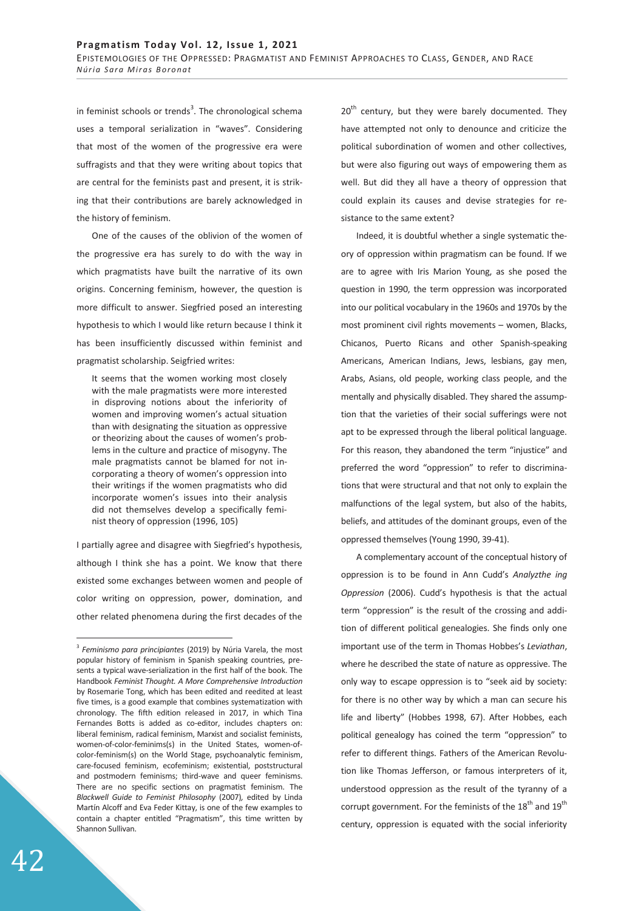in feminist schools or trends<sup>3</sup>. The chronological schema uses a temporal serialization in "waves". Considering that most of the women of the progressive era were suffragists and that they were writing about topics that are central for the feminists past and present, it is striking that their contributions are barely acknowledged in the history of feminism.

One of the causes of the oblivion of the women of the progressive era has surely to do with the way in which pragmatists have built the narrative of its own origins. Concerning feminism, however, the question is more difficult to answer. Siegfried posed an interesting hypothesis to which I would like return because I think it has been insufficiently discussed within feminist and pragmatist scholarship. Seigfried writes:

It seems that the women working most closely with the male pragmatists were more interested in disproving notions about the inferiority of women and improving women's actual situation than with designating the situation as oppressive or theorizing about the causes of women's problems in the culture and practice of misogyny. The male pragmatists cannot be blamed for not incorporating a theory of women's oppression into their writings if the women pragmatists who did incorporate women's issues into their analysis did not themselves develop a specifically feminist theory of oppression (1996, 105)

I partially agree and disagree with Siegfried's hypothesis, although I think she has a point. We know that there existed some exchanges between women and people of color writing on oppression, power, domination, and other related phenomena during the first decades of the

20<sup>th</sup> century, but they were barely documented. They have attempted not only to denounce and criticize the political subordination of women and other collectives, but were also figuring out ways of empowering them as well. But did they all have a theory of oppression that could explain its causes and devise strategies for resistance to the same extent?

Indeed, it is doubtful whether a single systematic theory of oppression within pragmatism can be found. If we are to agree with Iris Marion Young, as she posed the question in 1990, the term oppression was incorporated into our political vocabulary in the 1960s and 1970s by the most prominent civil rights movements – women, Blacks, Chicanos, Puerto Ricans and other Spanish-speaking Americans, American Indians, Jews, lesbians, gay men, Arabs, Asians, old people, working class people, and the mentally and physically disabled. They shared the assumption that the varieties of their social sufferings were not apt to be expressed through the liberal political language. For this reason, they abandoned the term "injustice" and preferred the word "oppression" to refer to discriminations that were structural and that not only to explain the malfunctions of the legal system, but also of the habits, beliefs, and attitudes of the dominant groups, even of the oppressed themselves (Young 1990, 39-41).

A complementary account of the conceptual history of oppression is to be found in Ann Cudd's *Analyzthe ing Oppression* (2006). Cudd's hypothesis is that the actual term "oppression" is the result of the crossing and addition of different political genealogies. She finds only one important use of the term in Thomas Hobbes's *Leviathan*, where he described the state of nature as oppressive. The only way to escape oppression is to "seek aid by society: for there is no other way by which a man can secure his life and liberty" (Hobbes 1998, 67). After Hobbes, each political genealogy has coined the term "oppression" to refer to different things. Fathers of the American Revolution like Thomas Jefferson, or famous interpreters of it, understood oppression as the result of the tyranny of a corrupt government. For the feminists of the  $18<sup>th</sup>$  and  $19<sup>th</sup>$ century, oppression is equated with the social inferiority

<sup>3</sup> *Feminismo para principiantes* (2019) by Núria Varela, the most popular history of feminism in Spanish speaking countries, presents a typical wave-serialization in the first half of the book. The Handbook *Feminist Thought. A More Comprehensive Introduction* by Rosemarie Tong, which has been edited and reedited at least five times, is a good example that combines systematization with chronology. The fifth edition released in 2017, in which Tina Fernandes Botts is added as co-editor, includes chapters on: liberal feminism, radical feminism, Marxist and socialist feminists, women-of-color-feminims(s) in the United States, women-ofcolor-feminism(s) on the World Stage, psychoanalytic feminism, care-focused feminism, ecofeminism; existential, poststructural and postmodern feminisms; third-wave and queer feminisms. There are no specific sections on pragmatist feminism. The *Blackwell Guide to Feminist Philosophy* (2007)*,* edited by Linda Martín Alcoff and Eva Feder Kittay, is one of the few examples to contain a chapter entitled "Pragmatism", this time written by Shannon Sullivan.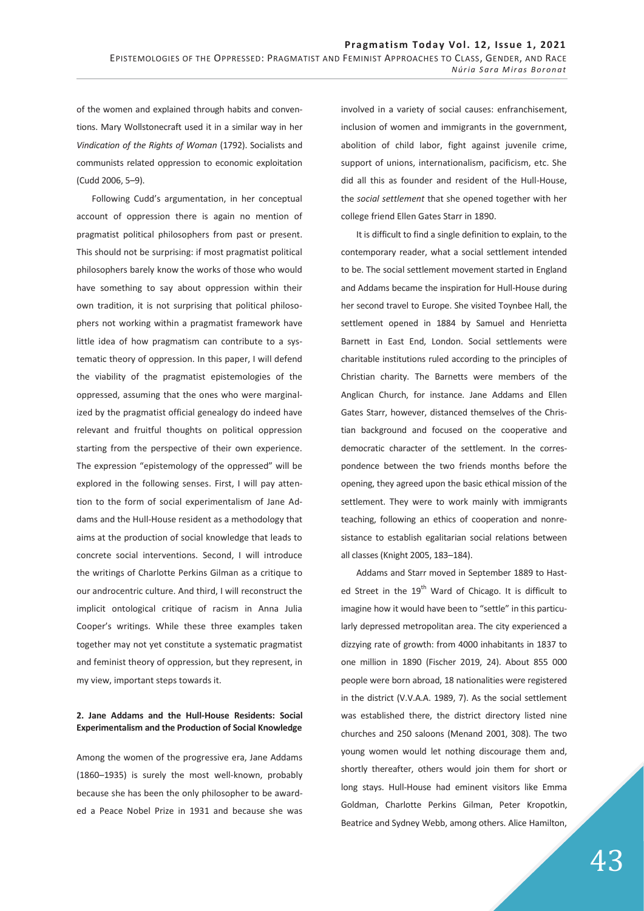of the women and explained through habits and conventions. Mary Wollstonecraft used it in a similar way in her *Vindication of the Rights of Woman* (1792). Socialists and communists related oppression to economic exploitation (Cudd 2006, 5–9).

Following Cudd's argumentation, in her conceptual account of oppression there is again no mention of pragmatist political philosophers from past or present. This should not be surprising: if most pragmatist political philosophers barely know the works of those who would have something to say about oppression within their own tradition, it is not surprising that political philosophers not working within a pragmatist framework have little idea of how pragmatism can contribute to a systematic theory of oppression. In this paper, I will defend the viability of the pragmatist epistemologies of the oppressed, assuming that the ones who were marginalized by the pragmatist official genealogy do indeed have relevant and fruitful thoughts on political oppression starting from the perspective of their own experience. The expression "epistemology of the oppressed" will be explored in the following senses. First, I will pay attention to the form of social experimentalism of Jane Addams and the Hull-House resident as a methodology that aims at the production of social knowledge that leads to concrete social interventions. Second, I will introduce the writings of Charlotte Perkins Gilman as a critique to our androcentric culture. And third, I will reconstruct the implicit ontological critique of racism in Anna Julia Cooper's writings. While these three examples taken together may not yet constitute a systematic pragmatist and feminist theory of oppression, but they represent, in my view, important steps towards it.

## **2. Jane Addams and the Hull-House Residents: Social Experimentalism and the Production of Social Knowledge**

Among the women of the progressive era, Jane Addams (1860–1935) is surely the most well-known, probably because she has been the only philosopher to be awarded a Peace Nobel Prize in 1931 and because she was involved in a variety of social causes: enfranchisement, inclusion of women and immigrants in the government, abolition of child labor, fight against juvenile crime, support of unions, internationalism, pacificism, etc. She did all this as founder and resident of the Hull-House, the *social settlement* that she opened together with her college friend Ellen Gates Starr in 1890.

It is difficult to find a single definition to explain, to the contemporary reader, what a social settlement intended to be. The social settlement movement started in England and Addams became the inspiration for Hull-House during her second travel to Europe. She visited Toynbee Hall, the settlement opened in 1884 by Samuel and Henrietta Barnett in East End, London. Social settlements were charitable institutions ruled according to the principles of Christian charity. The Barnetts were members of the Anglican Church, for instance. Jane Addams and Ellen Gates Starr, however, distanced themselves of the Christian background and focused on the cooperative and democratic character of the settlement. In the correspondence between the two friends months before the opening, they agreed upon the basic ethical mission of the settlement. They were to work mainly with immigrants teaching, following an ethics of cooperation and nonresistance to establish egalitarian social relations between all classes (Knight 2005, 183–184).

Addams and Starr moved in September 1889 to Hasted Street in the 19<sup>th</sup> Ward of Chicago. It is difficult to imagine how it would have been to "settle" in this particularly depressed metropolitan area. The city experienced a dizzying rate of growth: from 4000 inhabitants in 1837 to one million in 1890 (Fischer 2019, 24). About 855 000 people were born abroad, 18 nationalities were registered in the district (V.V.A.A. 1989, 7). As the social settlement was established there, the district directory listed nine churches and 250 saloons (Menand 2001, 308). The two young women would let nothing discourage them and, shortly thereafter, others would join them for short or long stays. Hull-House had eminent visitors like Emma Goldman, Charlotte Perkins Gilman, Peter Kropotkin, Beatrice and Sydney Webb, among others. Alice Hamilton,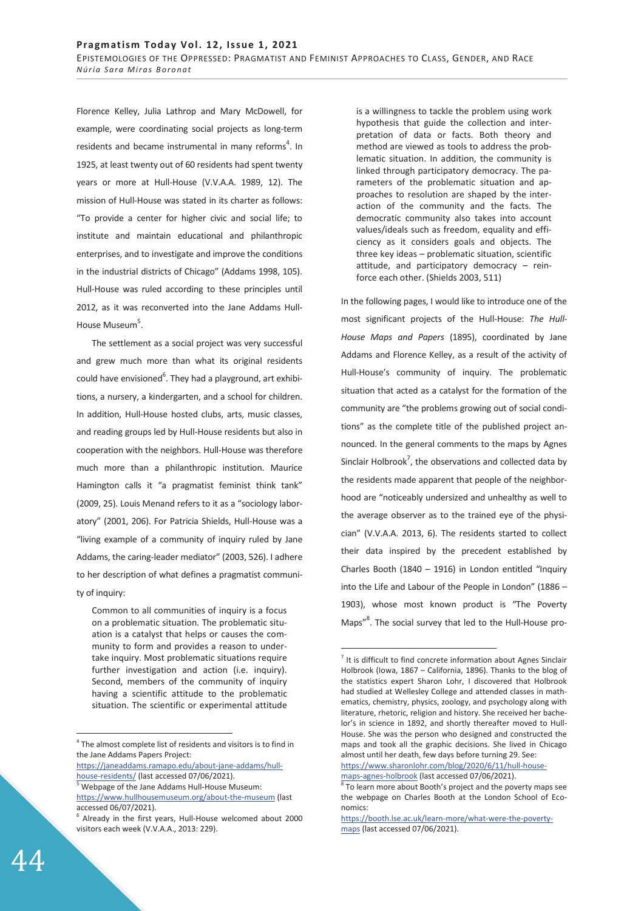Florence Kelley, Julia Lathrop and Mary McDowell, for example, were coordinating social projects as long-term residents and became instrumental in many reforms<sup>4</sup>. In 1925, at least twenty out of 60 residents had spent twenty years or more at Hull-House (V.V.A.A. 1989, 12). The mission of Hull-House was stated in its charter as follows: "To provide a center for higher civic and social life; to institute and maintain educational and philanthropic enterprises, and to investigate and improve the conditions in the industrial districts of Chicago" (Addams 1998, 105). Hull-House was ruled according to these principles until 2012, as it was reconverted into the Jane Addams Hull-House Museum<sup>5</sup>.

The settlement as a social project was very successful and grew much more than what its original residents could have envisioned<sup>6</sup>. They had a playground, art exhibitions, a nursery, a kindergarten, and a school for children. In addition, Hull-House hosted clubs, arts, music classes, and reading groups led by Hull-House residents but also in cooperation with the neighbors. Hull-House was therefore much more than a philanthropic institution. Maurice Hamington calls it "a pragmatist feminist think tank" (2009, 25). Louis Menand refers to it as a "sociology laboratory" (2001, 206). For Patricia Shields, Hull-House was a "living example of a community of inquiry ruled by Jane Addams, the caring-leader mediator" (2003, 526). I adhere to her description of what defines a pragmatist community of inquiry:

Common to all communities of inquiry is a focus on a problematic situation. The problematic situation is a catalyst that helps or causes the community to form and provides a reason to undertake inquiry. Most problematic situations require further investigation and action (i.e. inquiry). Second, members of the community of inquiry having a scientific attitude to the problematic situation. The scientific or experimental attitude

https://janeaddams.ramapo.edu/about-jane-addams/hullhouse-residents/ (last accessed 07/06/2021).

is a willingness to tackle the problem using work hypothesis that guide the collection and interpretation of data or facts. Both theory and method are viewed as tools to address the problematic situation. In addition, the community is linked through participatory democracy. The parameters of the problematic situation and approaches to resolution are shaped by the interaction of the community and the facts. The democratic community also takes into account values/ideals such as freedom, equality and efficiency as it considers goals and objects. The three key ideas – problematic situation, scientific attitude, and participatory democracy – reinforce each other. (Shields 2003, 511)

In the following pages, I would like to introduce one of the most significant projects of the Hull-House: *The Hull-House Maps and Papers* (1895), coordinated by Jane Addams and Florence Kelley, as a result of the activity of Hull-House's community of inquiry. The problematic situation that acted as a catalyst for the formation of the community are "the problems growing out of social conditions" as the complete title of the published project announced. In the general comments to the maps by Agnes Sinclair Holbrook<sup>7</sup>, the observations and collected data by the residents made apparent that people of the neighborhood are "noticeably undersized and unhealthy as well to the average observer as to the trained eye of the physician" (V.V.A.A. 2013, 6). The residents started to collect their data inspired by the precedent established by Charles Booth (1840 – 1916) in London entitled "Inquiry into the Life and Labour of the People in London" (1886 – 1903), whose most known product is "The Poverty Maps"<sup>8</sup>. The social survey that led to the Hull-House pro-

maps-agnes-holbrook (last accessed 07/06/2021).

-

 $\overline{a}$ 

 $4$  The almost complete list of residents and visitors is to find in the Jane Addams Papers Project:

Webpage of the Jane Addams Hull-House Museum: https://www.hullhousemuseum.org/about-the-museum (last accessed 06/07/2021).

<sup>6</sup> Already in the first years, Hull-House welcomed about 2000 visitors each week (V.V.A.A., 2013: 229).

 $<sup>7</sup>$  It is difficult to find concrete information about Agnes Sinclair</sup> Holbrook (Iowa, 1867 – California, 1896). Thanks to the blog of the statistics expert Sharon Lohr, I discovered that Holbrook had studied at Wellesley College and attended classes in mathematics, chemistry, physics, zoology, and psychology along with literature, rhetoric, religion and history. She received her bachelor's in science in 1892, and shortly thereafter moved to Hull-House. She was the person who designed and constructed the maps and took all the graphic decisions. She lived in Chicago almost until her death, few days before turning 29. See: https://www.sharonlohr.com/blog/2020/6/11/hull-house-

 $8$  To learn more about Booth's project and the poverty maps see the webpage on Charles Booth at the London School of Economics:

https://booth.lse.ac.uk/learn-more/what-were-the-povertymaps (last accessed 07/06/2021).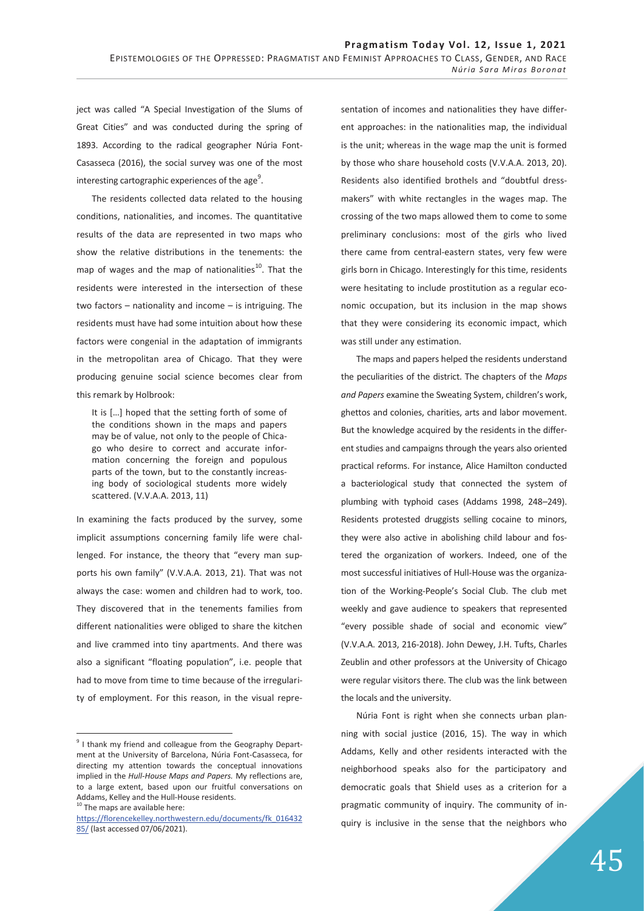ject was called "A Special Investigation of the Slums of Great Cities" and was conducted during the spring of 1893. According to the radical geographer Núria Font-Casasseca (2016), the social survey was one of the most interesting cartographic experiences of the age $^9$ .

The residents collected data related to the housing conditions, nationalities, and incomes. The quantitative results of the data are represented in two maps who show the relative distributions in the tenements: the map of wages and the map of nationalities<sup>10</sup>. That the residents were interested in the intersection of these two factors – nationality and income – is intriguing. The residents must have had some intuition about how these factors were congenial in the adaptation of immigrants in the metropolitan area of Chicago. That they were producing genuine social science becomes clear from this remark by Holbrook:

It is […] hoped that the setting forth of some of the conditions shown in the maps and papers may be of value, not only to the people of Chicago who desire to correct and accurate information concerning the foreign and populous parts of the town, but to the constantly increasing body of sociological students more widely scattered. (V.V.A.A. 2013, 11)

In examining the facts produced by the survey, some implicit assumptions concerning family life were challenged. For instance, the theory that "every man supports his own family" (V.V.A.A. 2013, 21). That was not always the case: women and children had to work, too. They discovered that in the tenements families from different nationalities were obliged to share the kitchen and live crammed into tiny apartments. And there was also a significant "floating population", i.e. people that had to move from time to time because of the irregularity of employment. For this reason, in the visual repre-

 $\overline{a}$ 

sentation of incomes and nationalities they have different approaches: in the nationalities map, the individual is the unit; whereas in the wage map the unit is formed by those who share household costs (V.V.A.A. 2013, 20). Residents also identified brothels and "doubtful dressmakers" with white rectangles in the wages map. The crossing of the two maps allowed them to come to some preliminary conclusions: most of the girls who lived there came from central-eastern states, very few were girls born in Chicago. Interestingly for this time, residents were hesitating to include prostitution as a regular economic occupation, but its inclusion in the map shows that they were considering its economic impact, which was still under any estimation.

The maps and papers helped the residents understand the peculiarities of the district. The chapters of the *Maps and Papers* examine the Sweating System, children's work, ghettos and colonies, charities, arts and labor movement. But the knowledge acquired by the residents in the different studies and campaigns through the years also oriented practical reforms. For instance, Alice Hamilton conducted a bacteriological study that connected the system of plumbing with typhoid cases (Addams 1998, 248–249). Residents protested druggists selling cocaine to minors, they were also active in abolishing child labour and fostered the organization of workers. Indeed, one of the most successful initiatives of Hull-House was the organization of the Working-People's Social Club. The club met weekly and gave audience to speakers that represented "every possible shade of social and economic view" (V.V.A.A. 2013, 216-2018). John Dewey, J.H. Tufts, Charles Zeublin and other professors at the University of Chicago were regular visitors there. The club was the link between the locals and the university.

Núria Font is right when she connects urban planning with social justice (2016, 15). The way in which Addams, Kelly and other residents interacted with the neighborhood speaks also for the participatory and democratic goals that Shield uses as a criterion for a pragmatic community of inquiry. The community of inquiry is inclusive in the sense that the neighbors who

<sup>&</sup>lt;sup>9</sup> I thank my friend and colleague from the Geography Department at the University of Barcelona, Núria Font-Casasseca, for directing my attention towards the conceptual innovations implied in the *Hull-House Maps and Papers.* My reflections are, to a large extent, based upon our fruitful conversations on Addams, Kelley and the Hull-House residents. 10 The maps are available here:

https://florencekelley.northwestern.edu/documents/fk\_016432 85/ (last accessed 07/06/2021).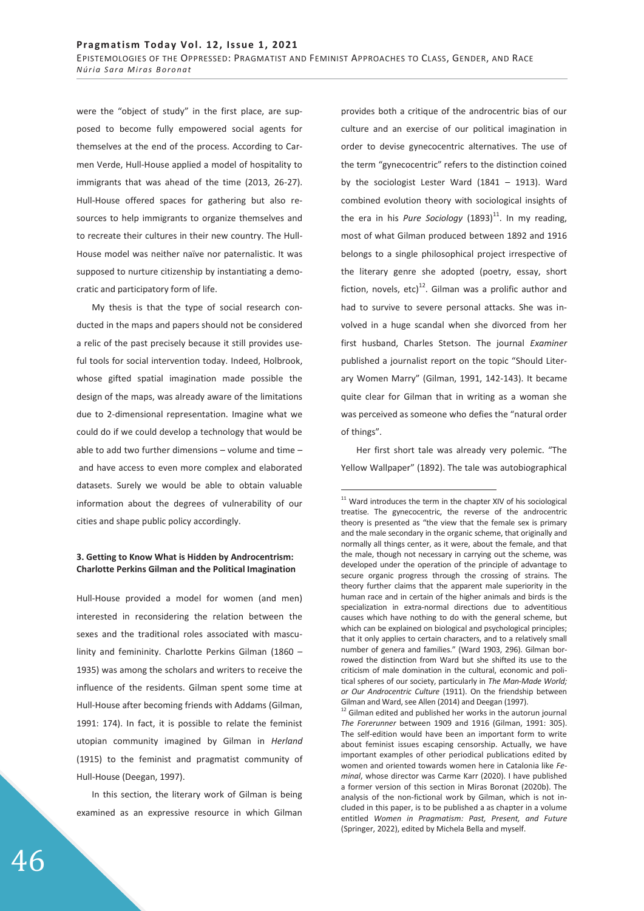were the "object of study" in the first place, are supposed to become fully empowered social agents for themselves at the end of the process. According to Carmen Verde, Hull-House applied a model of hospitality to immigrants that was ahead of the time (2013, 26-27). Hull-House offered spaces for gathering but also resources to help immigrants to organize themselves and to recreate their cultures in their new country. The Hull-House model was neither naïve nor paternalistic. It was supposed to nurture citizenship by instantiating a democratic and participatory form of life.

My thesis is that the type of social research conducted in the maps and papers should not be considered a relic of the past precisely because it still provides useful tools for social intervention today. Indeed, Holbrook, whose gifted spatial imagination made possible the design of the maps, was already aware of the limitations due to 2-dimensional representation. Imagine what we could do if we could develop a technology that would be able to add two further dimensions – volume and time – and have access to even more complex and elaborated datasets. Surely we would be able to obtain valuable information about the degrees of vulnerability of our cities and shape public policy accordingly.

### **3. Getting to Know What is Hidden by Androcentrism: Charlotte Perkins Gilman and the Political Imagination**

Hull-House provided a model for women (and men) interested in reconsidering the relation between the sexes and the traditional roles associated with masculinity and femininity. Charlotte Perkins Gilman (1860 – 1935) was among the scholars and writers to receive the influence of the residents. Gilman spent some time at Hull-House after becoming friends with Addams (Gilman, 1991: 174). In fact, it is possible to relate the feminist utopian community imagined by Gilman in *Herland*  (1915) to the feminist and pragmatist community of Hull-House (Deegan, 1997).

In this section, the literary work of Gilman is being examined as an expressive resource in which Gilman provides both a critique of the androcentric bias of our culture and an exercise of our political imagination in order to devise gynecocentric alternatives. The use of the term "gynecocentric" refers to the distinction coined by the sociologist Lester Ward (1841 – 1913). Ward combined evolution theory with sociological insights of the era in his *Pure Sociology*  $(1893)^{11}$ . In my reading, most of what Gilman produced between 1892 and 1916 belongs to a single philosophical project irrespective of the literary genre she adopted (poetry, essay, short fiction, novels, etc) $^{12}$ . Gilman was a prolific author and had to survive to severe personal attacks. She was involved in a huge scandal when she divorced from her first husband, Charles Stetson. The journal *Examiner*  published a journalist report on the topic "Should Literary Women Marry" (Gilman, 1991, 142-143). It became quite clear for Gilman that in writing as a woman she was perceived as someone who defies the "natural order of things".

Her first short tale was already very polemic. "The Yellow Wallpaper" (1892). The tale was autobiographical

 $11$  Ward introduces the term in the chapter XIV of his sociological treatise. The gynecocentric, the reverse of the androcentric theory is presented as "the view that the female sex is primary and the male secondary in the organic scheme, that originally and normally all things center, as it were, about the female, and that the male, though not necessary in carrying out the scheme, was developed under the operation of the principle of advantage to secure organic progress through the crossing of strains. The theory further claims that the apparent male superiority in the human race and in certain of the higher animals and birds is the specialization in extra-normal directions due to adventitious causes which have nothing to do with the general scheme, but which can be explained on biological and psychological principles; that it only applies to certain characters, and to a relatively small number of genera and families." (Ward 1903, 296). Gilman borrowed the distinction from Ward but she shifted its use to the criticism of male domination in the cultural, economic and political spheres of our society, particularly in *The Man-Made World; or Our Androcentric Culture* (1911). On the friendship between Gilman and Ward, see Allen (2014) and Deegan (1997).

 $12$  Gilman edited and published her works in the autorun journal *The Forerunner* between 1909 and 1916 (Gilman, 1991: 305). The self-edition would have been an important form to write about feminist issues escaping censorship. Actually, we have important examples of other periodical publications edited by women and oriented towards women here in Catalonia like *Feminal*, whose director was Carme Karr (2020). I have published a former version of this section in Miras Boronat (2020b). The analysis of the non-fictional work by Gilman, which is not included in this paper, is to be published a as chapter in a volume entitled *Women in Pragmatism: Past, Present, and Future* (Springer, 2022), edited by Michela Bella and myself.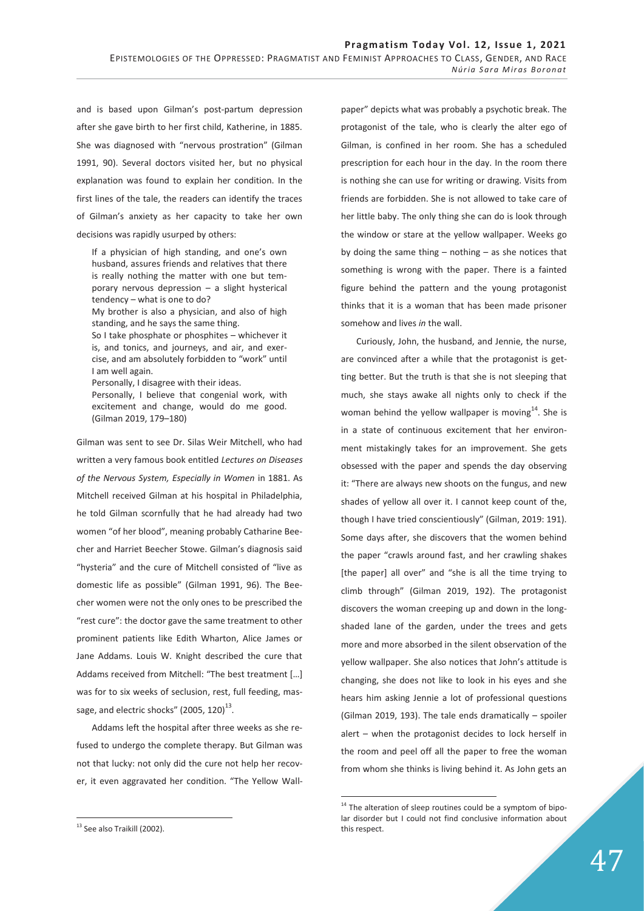and is based upon Gilman's post-partum depression after she gave birth to her first child, Katherine, in 1885. She was diagnosed with "nervous prostration" (Gilman 1991, 90). Several doctors visited her, but no physical explanation was found to explain her condition. In the first lines of the tale, the readers can identify the traces of Gilman's anxiety as her capacity to take her own decisions was rapidly usurped by others:

If a physician of high standing, and one's own husband, assures friends and relatives that there is really nothing the matter with one but temporary nervous depression – a slight hysterical tendency – what is one to do?

My brother is also a physician, and also of high standing, and he says the same thing.

So I take phosphate or phosphites – whichever it is, and tonics, and journeys, and air, and exercise, and am absolutely forbidden to "work" until I am well again.

Personally, I disagree with their ideas.

Personally, I believe that congenial work, with excitement and change, would do me good. (Gilman 2019, 179–180)

Gilman was sent to see Dr. Silas Weir Mitchell, who had written a very famous book entitled *Lectures on Diseases of the Nervous System, Especially in Women* in 1881. As Mitchell received Gilman at his hospital in Philadelphia, he told Gilman scornfully that he had already had two women "of her blood", meaning probably Catharine Beecher and Harriet Beecher Stowe. Gilman's diagnosis said "hysteria" and the cure of Mitchell consisted of "live as domestic life as possible" (Gilman 1991, 96). The Beecher women were not the only ones to be prescribed the "rest cure": the doctor gave the same treatment to other prominent patients like Edith Wharton, Alice James or Jane Addams. Louis W. Knight described the cure that Addams received from Mitchell: "The best treatment […] was for to six weeks of seclusion, rest, full feeding, massage, and electric shocks" (2005, 120) $^{13}$ .

Addams left the hospital after three weeks as she refused to undergo the complete therapy. But Gilman was not that lucky: not only did the cure not help her recover, it even aggravated her condition. "The Yellow Wall-

<sup>13</sup> See also Traikill (2002).

-

paper" depicts what was probably a psychotic break. The protagonist of the tale, who is clearly the alter ego of Gilman, is confined in her room. She has a scheduled prescription for each hour in the day. In the room there is nothing she can use for writing or drawing. Visits from friends are forbidden. She is not allowed to take care of her little baby. The only thing she can do is look through the window or stare at the yellow wallpaper. Weeks go by doing the same thing  $-$  nothing  $-$  as she notices that something is wrong with the paper. There is a fainted figure behind the pattern and the young protagonist thinks that it is a woman that has been made prisoner somehow and lives *in* the wall.

Curiously, John, the husband, and Jennie, the nurse, are convinced after a while that the protagonist is getting better. But the truth is that she is not sleeping that much, she stays awake all nights only to check if the woman behind the yellow wallpaper is moving<sup>14</sup>. She is in a state of continuous excitement that her environment mistakingly takes for an improvement. She gets obsessed with the paper and spends the day observing it: "There are always new shoots on the fungus, and new shades of yellow all over it. I cannot keep count of the, though I have tried conscientiously" (Gilman, 2019: 191). Some days after, she discovers that the women behind the paper "crawls around fast, and her crawling shakes [the paper] all over" and "she is all the time trying to climb through" (Gilman 2019, 192). The protagonist discovers the woman creeping up and down in the longshaded lane of the garden, under the trees and gets more and more absorbed in the silent observation of the yellow wallpaper. She also notices that John's attitude is changing, she does not like to look in his eyes and she hears him asking Jennie a lot of professional questions (Gilman 2019, 193). The tale ends dramatically – spoiler alert – when the protagonist decides to lock herself in the room and peel off all the paper to free the woman from whom she thinks is living behind it. As John gets an

 $14$  The alteration of sleep routines could be a symptom of bipolar disorder but I could not find conclusive information about this respect.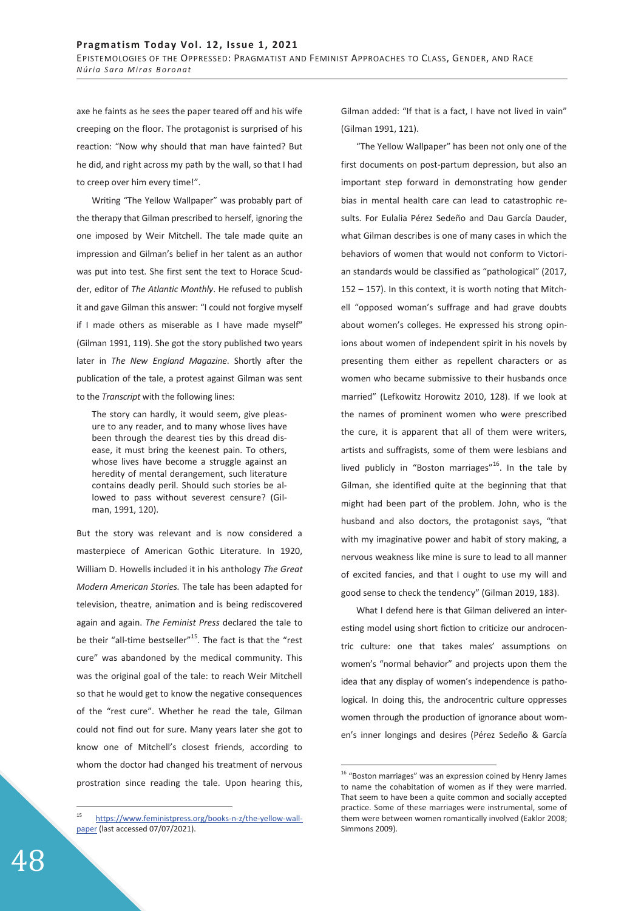axe he faints as he sees the paper teared off and his wife creeping on the floor. The protagonist is surprised of his reaction: "Now why should that man have fainted? But he did, and right across my path by the wall, so that I had to creep over him every time!".

Writing "The Yellow Wallpaper" was probably part of the therapy that Gilman prescribed to herself, ignoring the one imposed by Weir Mitchell. The tale made quite an impression and Gilman's belief in her talent as an author was put into test. She first sent the text to Horace Scudder, editor of *The Atlantic Monthly*. He refused to publish it and gave Gilman this answer: "I could not forgive myself if I made others as miserable as I have made myself" (Gilman 1991, 119). She got the story published two years later in *The New England Magazine*. Shortly after the publication of the tale, a protest against Gilman was sent to the *Transcript* with the following lines:

The story can hardly, it would seem, give pleasure to any reader, and to many whose lives have been through the dearest ties by this dread disease, it must bring the keenest pain. To others, whose lives have become a struggle against an heredity of mental derangement, such literature contains deadly peril. Should such stories be allowed to pass without severest censure? (Gilman, 1991, 120).

But the story was relevant and is now considered a masterpiece of American Gothic Literature. In 1920, William D. Howells included it in his anthology *The Great Modern American Stories.* The tale has been adapted for television, theatre, animation and is being rediscovered again and again. *The Feminist Press* declared the tale to be their "all-time bestseller"<sup>15</sup>. The fact is that the "rest cure" was abandoned by the medical community. This was the original goal of the tale: to reach Weir Mitchell so that he would get to know the negative consequences of the "rest cure". Whether he read the tale, Gilman could not find out for sure. Many years later she got to know one of Mitchell's closest friends, according to whom the doctor had changed his treatment of nervous prostration since reading the tale. Upon hearing this,

Gilman added: "If that is a fact, I have not lived in vain" (Gilman 1991, 121).

"The Yellow Wallpaper" has been not only one of the first documents on post-partum depression, but also an important step forward in demonstrating how gender bias in mental health care can lead to catastrophic results. For Eulalia Pérez Sedeño and Dau García Dauder, what Gilman describes is one of many cases in which the behaviors of women that would not conform to Victorian standards would be classified as "pathological" (2017, 152 – 157). In this context, it is worth noting that Mitchell "opposed woman's suffrage and had grave doubts about women's colleges. He expressed his strong opinions about women of independent spirit in his novels by presenting them either as repellent characters or as women who became submissive to their husbands once married" (Lefkowitz Horowitz 2010, 128). If we look at the names of prominent women who were prescribed the cure, it is apparent that all of them were writers, artists and suffragists, some of them were lesbians and lived publicly in "Boston marriages"<sup>16</sup>. In the tale by Gilman, she identified quite at the beginning that that might had been part of the problem. John, who is the husband and also doctors, the protagonist says, "that with my imaginative power and habit of story making, a nervous weakness like mine is sure to lead to all manner of excited fancies, and that I ought to use my will and good sense to check the tendency" (Gilman 2019, 183).

What I defend here is that Gilman delivered an interesting model using short fiction to criticize our androcentric culture: one that takes males' assumptions on women's "normal behavior" and projects upon them the idea that any display of women's independence is pathological. In doing this, the androcentric culture oppresses women through the production of ignorance about women's inner longings and desires (Pérez Sedeño & García

 $\overline{a}$ 

 $15$ https://www.feministpress.org/books-n-z/the-yellow-wallpaper (last accessed 07/07/2021).

<sup>&</sup>lt;sup>16</sup> "Boston marriages" was an expression coined by Henry James to name the cohabitation of women as if they were married. That seem to have been a quite common and socially accepted practice. Some of these marriages were instrumental, some of them were between women romantically involved (Eaklor 2008; Simmons 2009).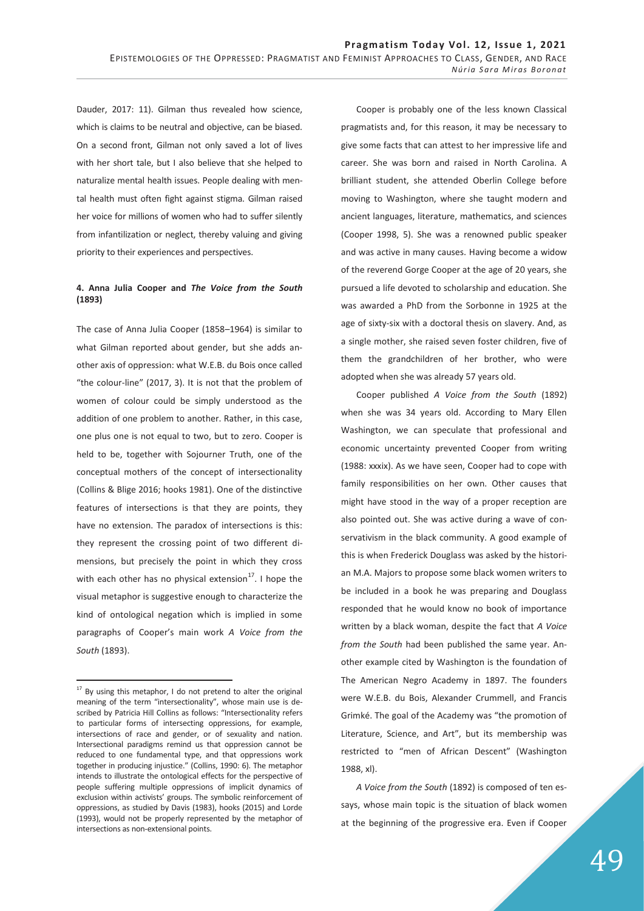Dauder, 2017: 11). Gilman thus revealed how science, which is claims to be neutral and objective, can be biased. On a second front, Gilman not only saved a lot of lives with her short tale, but I also believe that she helped to naturalize mental health issues. People dealing with mental health must often fight against stigma. Gilman raised her voice for millions of women who had to suffer silently from infantilization or neglect, thereby valuing and giving priority to their experiences and perspectives.

## **4. Anna Julia Cooper and** *The Voice from the South* **(1893)**

The case of Anna Julia Cooper (1858–1964) is similar to what Gilman reported about gender, but she adds another axis of oppression: what W.E.B. du Bois once called "the colour-line" (2017, 3). It is not that the problem of women of colour could be simply understood as the addition of one problem to another. Rather, in this case, one plus one is not equal to two, but to zero. Cooper is held to be, together with Sojourner Truth, one of the conceptual mothers of the concept of intersectionality (Collins & Blige 2016; hooks 1981). One of the distinctive features of intersections is that they are points, they have no extension. The paradox of intersections is this: they represent the crossing point of two different dimensions, but precisely the point in which they cross with each other has no physical extension $^{17}$ . I hope the visual metaphor is suggestive enough to characterize the kind of ontological negation which is implied in some paragraphs of Cooper's main work *A Voice from the South* (1893).

-

Cooper is probably one of the less known Classical pragmatists and, for this reason, it may be necessary to give some facts that can attest to her impressive life and career. She was born and raised in North Carolina. A brilliant student, she attended Oberlin College before moving to Washington, where she taught modern and ancient languages, literature, mathematics, and sciences (Cooper 1998, 5). She was a renowned public speaker and was active in many causes. Having become a widow of the reverend Gorge Cooper at the age of 20 years, she pursued a life devoted to scholarship and education. She was awarded a PhD from the Sorbonne in 1925 at the age of sixty-six with a doctoral thesis on slavery. And, as a single mother, she raised seven foster children, five of them the grandchildren of her brother, who were adopted when she was already 57 years old.

Cooper published *A Voice from the South* (1892) when she was 34 years old. According to Mary Ellen Washington, we can speculate that professional and economic uncertainty prevented Cooper from writing (1988: xxxix). As we have seen, Cooper had to cope with family responsibilities on her own. Other causes that might have stood in the way of a proper reception are also pointed out. She was active during a wave of conservativism in the black community. A good example of this is when Frederick Douglass was asked by the historian M.A. Majors to propose some black women writers to be included in a book he was preparing and Douglass responded that he would know no book of importance written by a black woman, despite the fact that *A Voice from the South* had been published the same year. Another example cited by Washington is the foundation of The American Negro Academy in 1897. The founders were W.E.B. du Bois, Alexander Crummell, and Francis Grimké. The goal of the Academy was "the promotion of Literature, Science, and Art", but its membership was restricted to "men of African Descent" (Washington 1988, xl).

*A Voice from the South* (1892) is composed of ten essays, whose main topic is the situation of black women at the beginning of the progressive era. Even if Cooper

 $17$  By using this metaphor, I do not pretend to alter the original meaning of the term "intersectionality", whose main use is described by Patricia Hill Collins as follows: "Intersectionality refers to particular forms of intersecting oppressions, for example, intersections of race and gender, or of sexuality and nation. Intersectional paradigms remind us that oppression cannot be reduced to one fundamental type, and that oppressions work together in producing injustice." (Collins, 1990: 6). The metaphor intends to illustrate the ontological effects for the perspective of people suffering multiple oppressions of implicit dynamics of exclusion within activists' groups. The symbolic reinforcement of oppressions, as studied by Davis (1983), hooks (2015) and Lorde (1993), would not be properly represented by the metaphor of intersections as non-extensional points.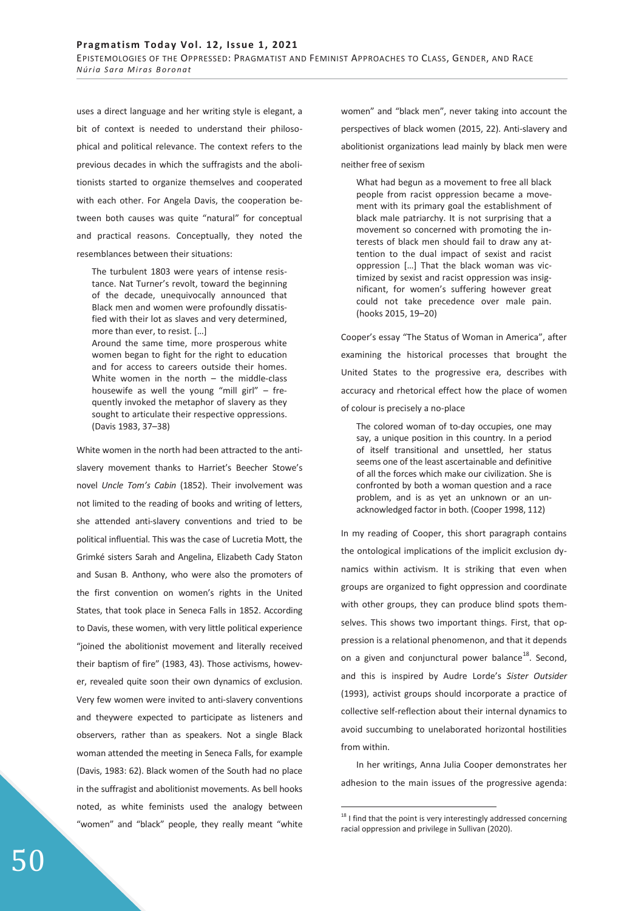uses a direct language and her writing style is elegant, a bit of context is needed to understand their philosophical and political relevance. The context refers to the previous decades in which the suffragists and the abolitionists started to organize themselves and cooperated with each other. For Angela Davis, the cooperation between both causes was quite "natural" for conceptual and practical reasons. Conceptually, they noted the resemblances between their situations:

The turbulent 1803 were years of intense resistance. Nat Turner's revolt, toward the beginning of the decade, unequivocally announced that Black men and women were profoundly dissatisfied with their lot as slaves and very determined, more than ever, to resist. […]

Around the same time, more prosperous white women began to fight for the right to education and for access to careers outside their homes. White women in the north – the middle-class housewife as well the young "mill girl"  $-$  frequently invoked the metaphor of slavery as they sought to articulate their respective oppressions. (Davis 1983, 37–38)

White women in the north had been attracted to the antislavery movement thanks to Harriet's Beecher Stowe's novel *Uncle Tom's Cabin* (1852). Their involvement was not limited to the reading of books and writing of letters, she attended anti-slavery conventions and tried to be political influential. This was the case of Lucretia Mott, the Grimké sisters Sarah and Angelina, Elizabeth Cady Staton and Susan B. Anthony, who were also the promoters of the first convention on women's rights in the United States, that took place in Seneca Falls in 1852. According to Davis, these women, with very little political experience "joined the abolitionist movement and literally received their baptism of fire" (1983, 43). Those activisms, however, revealed quite soon their own dynamics of exclusion. Very few women were invited to anti-slavery conventions and theywere expected to participate as listeners and observers, rather than as speakers. Not a single Black woman attended the meeting in Seneca Falls, for example (Davis, 1983: 62). Black women of the South had no place in the suffragist and abolitionist movements. As bell hooks noted, as white feminists used the analogy between "women" and "black" people, they really meant "white

women" and "black men", never taking into account the perspectives of black women (2015, 22). Anti-slavery and abolitionist organizations lead mainly by black men were neither free of sexism

What had begun as a movement to free all black people from racist oppression became a movement with its primary goal the establishment of black male patriarchy. It is not surprising that a movement so concerned with promoting the interests of black men should fail to draw any attention to the dual impact of sexist and racist oppression […] That the black woman was victimized by sexist and racist oppression was insignificant, for women's suffering however great could not take precedence over male pain. (hooks 2015, 19–20)

Cooper's essay "The Status of Woman in America", after examining the historical processes that brought the United States to the progressive era, describes with accuracy and rhetorical effect how the place of women of colour is precisely a no-place

The colored woman of to-day occupies, one may say, a unique position in this country. In a period of itself transitional and unsettled, her status seems one of the least ascertainable and definitive of all the forces which make our civilization. She is confronted by both a woman question and a race problem, and is as yet an unknown or an unacknowledged factor in both. (Cooper 1998, 112)

In my reading of Cooper, this short paragraph contains the ontological implications of the implicit exclusion dynamics within activism. It is striking that even when groups are organized to fight oppression and coordinate with other groups, they can produce blind spots themselves. This shows two important things. First, that oppression is a relational phenomenon, and that it depends on a given and conjunctural power balance<sup>18</sup>. Second, and this is inspired by Audre Lorde's *Sister Outsider*  (1993), activist groups should incorporate a practice of collective self-reflection about their internal dynamics to avoid succumbing to unelaborated horizontal hostilities from within.

In her writings, Anna Julia Cooper demonstrates her adhesion to the main issues of the progressive agenda:

 $^{18}$  I find that the point is very interestingly addressed concerning racial oppression and privilege in Sullivan (2020).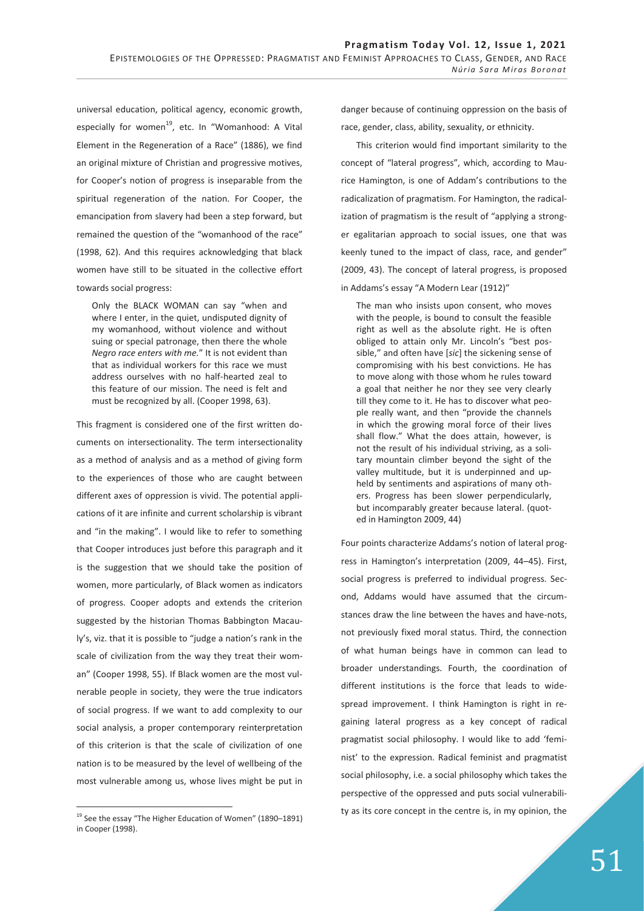universal education, political agency, economic growth, especially for women<sup>19</sup>, etc. In "Womanhood: A Vital Element in the Regeneration of a Race" (1886), we find an original mixture of Christian and progressive motives, for Cooper's notion of progress is inseparable from the spiritual regeneration of the nation. For Cooper, the emancipation from slavery had been a step forward, but remained the question of the "womanhood of the race" (1998, 62). And this requires acknowledging that black women have still to be situated in the collective effort towards social progress:

Only the BLACK WOMAN can say "when and where I enter, in the quiet, undisputed dignity of my womanhood, without violence and without suing or special patronage, then there the whole *Negro race enters with me.*" It is not evident than that as individual workers for this race we must address ourselves with no half-hearted zeal to this feature of our mission. The need is felt and must be recognized by all. (Cooper 1998, 63).

This fragment is considered one of the first written documents on intersectionality. The term intersectionality as a method of analysis and as a method of giving form to the experiences of those who are caught between different axes of oppression is vivid. The potential applications of it are infinite and current scholarship is vibrant and "in the making". I would like to refer to something that Cooper introduces just before this paragraph and it is the suggestion that we should take the position of women, more particularly, of Black women as indicators of progress. Cooper adopts and extends the criterion suggested by the historian Thomas Babbington Macauly's, viz. that it is possible to "judge a nation's rank in the scale of civilization from the way they treat their woman" (Cooper 1998, 55). If Black women are the most vulnerable people in society, they were the true indicators of social progress. If we want to add complexity to our social analysis, a proper contemporary reinterpretation of this criterion is that the scale of civilization of one nation is to be measured by the level of wellbeing of the most vulnerable among us, whose lives might be put in

-

danger because of continuing oppression on the basis of race, gender, class, ability, sexuality, or ethnicity.

This criterion would find important similarity to the concept of "lateral progress", which, according to Maurice Hamington, is one of Addam's contributions to the radicalization of pragmatism. For Hamington, the radicalization of pragmatism is the result of "applying a stronger egalitarian approach to social issues, one that was keenly tuned to the impact of class, race, and gender" (2009, 43). The concept of lateral progress, is proposed in Addams's essay "A Modern Lear (1912)"

The man who insists upon consent, who moves with the people, is bound to consult the feasible right as well as the absolute right. He is often obliged to attain only Mr. Lincoln's "best possible," and often have [*sic*] the sickening sense of compromising with his best convictions. He has to move along with those whom he rules toward a goal that neither he nor they see very clearly till they come to it. He has to discover what people really want, and then "provide the channels in which the growing moral force of their lives shall flow." What the does attain, however, is not the result of his individual striving, as a solitary mountain climber beyond the sight of the valley multitude, but it is underpinned and upheld by sentiments and aspirations of many others. Progress has been slower perpendicularly, but incomparably greater because lateral. (quoted in Hamington 2009, 44)

Four points characterize Addams's notion of lateral progress in Hamington's interpretation (2009, 44–45). First, social progress is preferred to individual progress. Second, Addams would have assumed that the circumstances draw the line between the haves and have-nots, not previously fixed moral status. Third, the connection of what human beings have in common can lead to broader understandings. Fourth, the coordination of different institutions is the force that leads to widespread improvement. I think Hamington is right in regaining lateral progress as a key concept of radical pragmatist social philosophy. I would like to add 'feminist' to the expression. Radical feminist and pragmatist social philosophy, i.e. a social philosophy which takes the perspective of the oppressed and puts social vulnerability as its core concept in the centre is, in my opinion, the

<sup>&</sup>lt;sup>19</sup> See the essay "The Higher Education of Women" (1890-1891) in Cooper (1998).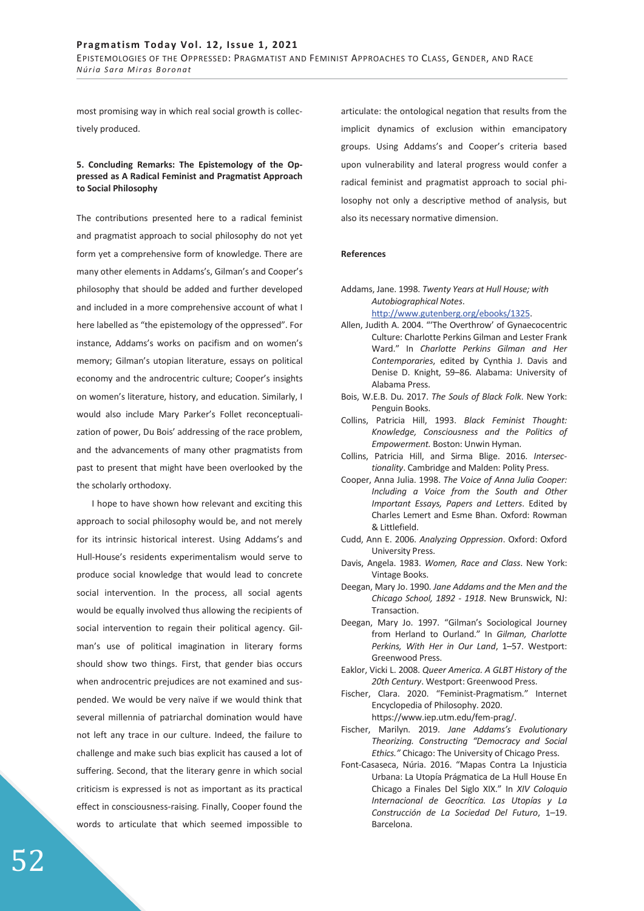most promising way in which real social growth is collectively produced.

## **5. Concluding Remarks: The Epistemology of the Oppressed as A Radical Feminist and Pragmatist Approach to Social Philosophy**

The contributions presented here to a radical feminist and pragmatist approach to social philosophy do not yet form yet a comprehensive form of knowledge. There are many other elements in Addams's, Gilman's and Cooper's philosophy that should be added and further developed and included in a more comprehensive account of what I here labelled as "the epistemology of the oppressed". For instance, Addams's works on pacifism and on women's memory; Gilman's utopian literature, essays on political economy and the androcentric culture; Cooper's insights on women's literature, history, and education. Similarly, I would also include Mary Parker's Follet reconceptualization of power, Du Bois' addressing of the race problem, and the advancements of many other pragmatists from past to present that might have been overlooked by the the scholarly orthodoxy.

I hope to have shown how relevant and exciting this approach to social philosophy would be, and not merely for its intrinsic historical interest. Using Addams's and Hull-House's residents experimentalism would serve to produce social knowledge that would lead to concrete social intervention. In the process, all social agents would be equally involved thus allowing the recipients of social intervention to regain their political agency. Gilman's use of political imagination in literary forms should show two things. First, that gender bias occurs when androcentric prejudices are not examined and suspended. We would be very naïve if we would think that several millennia of patriarchal domination would have not left any trace in our culture. Indeed, the failure to challenge and make such bias explicit has caused a lot of suffering. Second, that the literary genre in which social criticism is expressed is not as important as its practical effect in consciousness-raising. Finally, Cooper found the words to articulate that which seemed impossible to

articulate: the ontological negation that results from the implicit dynamics of exclusion within emancipatory groups. Using Addams's and Cooper's criteria based upon vulnerability and lateral progress would confer a radical feminist and pragmatist approach to social philosophy not only a descriptive method of analysis, but also its necessary normative dimension.

#### **References**

- Addams, Jane. 1998. *Twenty Years at Hull House; with Autobiographical Notes*. http://www.gutenberg.org/ebooks/1325.
- Allen, Judith A. 2004. "'The Overthrow' of Gynaecocentric Culture: Charlotte Perkins Gilman and Lester Frank Ward." In *Charlotte Perkins Gilman and Her Contemporaries*, edited by Cynthia J. Davis and Denise D. Knight, 59–86. Alabama: University of Alabama Press.
- Bois, W.E.B. Du. 2017. *The Souls of Black Folk*. New York: Penguin Books.
- Collins, Patricia Hill, 1993. *Black Feminist Thought: Knowledge, Consciousness and the Politics of Empowerment.* Boston: Unwin Hyman.
- Collins, Patricia Hill, and Sirma Blige. 2016. *Intersectionality*. Cambridge and Malden: Polity Press.
- Cooper, Anna Julia. 1998. *The Voice of Anna Julia Cooper: Including a Voice from the South and Other Important Essays, Papers and Letters*. Edited by Charles Lemert and Esme Bhan. Oxford: Rowman & Littlefield.
- Cudd, Ann E. 2006. *Analyzing Oppression*. Oxford: Oxford University Press.
- Davis, Angela. 1983. *Women, Race and Class*. New York: Vintage Books.
- Deegan, Mary Jo. 1990. *Jane Addams and the Men and the Chicago School, 1892 - 1918*. New Brunswick, NJ: Transaction.
- Deegan, Mary Jo. 1997. "Gilman's Sociological Journey from Herland to Ourland." In *Gilman, Charlotte Perkins, With Her in Our Land*, 1–57. Westport: Greenwood Press.
- Eaklor, Vicki L. 2008. *Queer America. A GLBT History of the 20th Century*. Westport: Greenwood Press.
- Fischer, Clara. 2020. "Feminist-Pragmatism." Internet Encyclopedia of Philosophy. 2020. https://www.iep.utm.edu/fem-prag/.
- Fischer, Marilyn. 2019. *Jane Addams's Evolutionary Theorizing. Constructing "Democracy and Social Ethics."* Chicago: The University of Chicago Press.
- Font-Casaseca, Núria. 2016. "Mapas Contra La Injusticia Urbana: La Utopía Prágmatica de La Hull House En Chicago a Finales Del Siglo XIX." In *XIV Coloquio Internacional de Geocrítica. Las Utopías y La Construcción de La Sociedad Del Futuro*, 1–19. Barcelona.